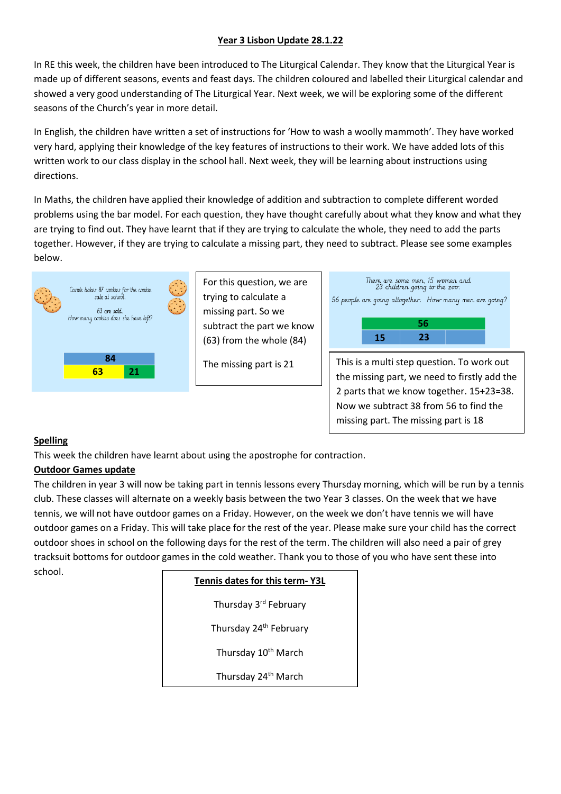#### **Year 3 Lisbon Update 28.1.22**

In RE this week, the children have been introduced to The Liturgical Calendar. They know that the Liturgical Year is made up of different seasons, events and feast days. The children coloured and labelled their Liturgical calendar and showed a very good understanding of The Liturgical Year. Next week, we will be exploring some of the different seasons of the Church's year in more detail.

In English, the children have written a set of instructions for 'How to wash a woolly mammoth'. They have worked very hard, applying their knowledge of the key features of instructions to their work. We have added lots of this written work to our class display in the school hall. Next week, they will be learning about instructions using directions.

In Maths, the children have applied their knowledge of addition and subtraction to complete different worded problems using the bar model. For each question, they have thought carefully about what they know and what they are trying to find out. They have learnt that if they are trying to calculate the whole, they need to add the parts together. However, if they are trying to calculate a missing part, they need to subtract. Please see some examples below.



For this question, we are trying to calculate a missing part. So we subtract the part we know (63) from the whole (84)



2 parts that we know together. 15+23=38. Now we subtract 38 from 56 to find the missing part. The missing part is 18

#### **Spelling**

This week the children have learnt about using the apostrophe for contraction.

# <u>Outdoor Games update</u>

The children in year 3 will now be taking part in tennis lessons every Thursday morning, which will be run by a tennis club. These classes will alternate on a weekly basis between the two Year 3 classes. On the week that we have tennis, we will not have outdoor games on a Friday. However, on the week we don't have tennis we will have outdoor games on a Friday. This will take place for the rest of the year. Please make sure your child has the correct outdoor shoes in school on the following days for the rest of the term. The children will also need a pair of grey tracksuit bottoms for outdoor games in the cold weather. Thank you to those of you who have sent these into school.

| Tennis dates for this term-Y3L     |  |
|------------------------------------|--|
| Thursday 3rd Februarv              |  |
| Thursday 24 <sup>th</sup> February |  |
| Thursday 10 <sup>th</sup> March    |  |
| Thursday 24 <sup>th</sup> March    |  |
|                                    |  |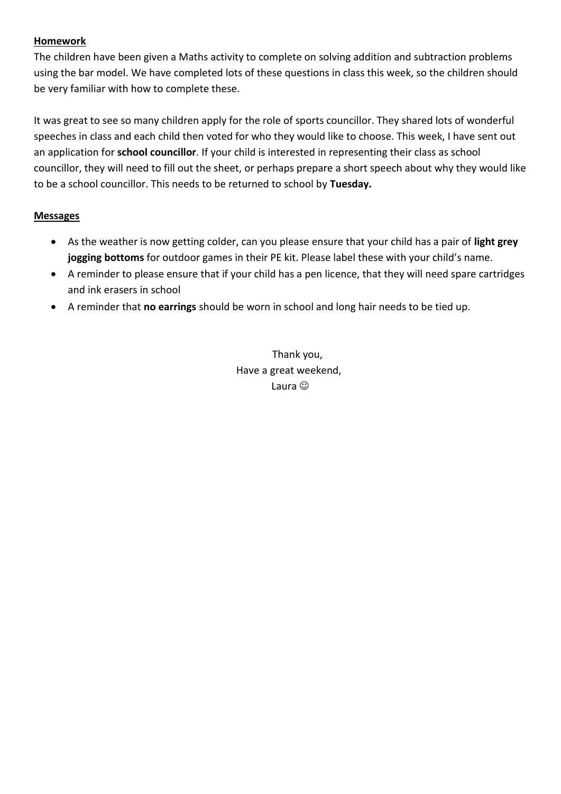### **Homework**

The children have been given a Maths activity to complete on solving addition and subtraction problems using the bar model. We have completed lots of these questions in class this week, so the children should be very familiar with how to complete these.

It was great to see so many children apply for the role of sports councillor. They shared lots of wonderful speeches in class and each child then voted for who they would like to choose. This week, I have sent out an application for **school councillor**. If your child is interested in representing their class as school councillor, they will need to fill out the sheet, or perhaps prepare a short speech about why they would like to be a school councillor. This needs to be returned to school by **Tuesday.**

#### **Messages**

- As the weather is now getting colder, can you please ensure that your child has a pair of **light grey jogging bottoms** for outdoor games in their PE kit. Please label these with your child's name.
- A reminder to please ensure that if your child has a pen licence, that they will need spare cartridges and ink erasers in school
- A reminder that **no earrings** should be worn in school and long hair needs to be tied up.

Thank you, Have a great weekend, Laura  $\circledcirc$